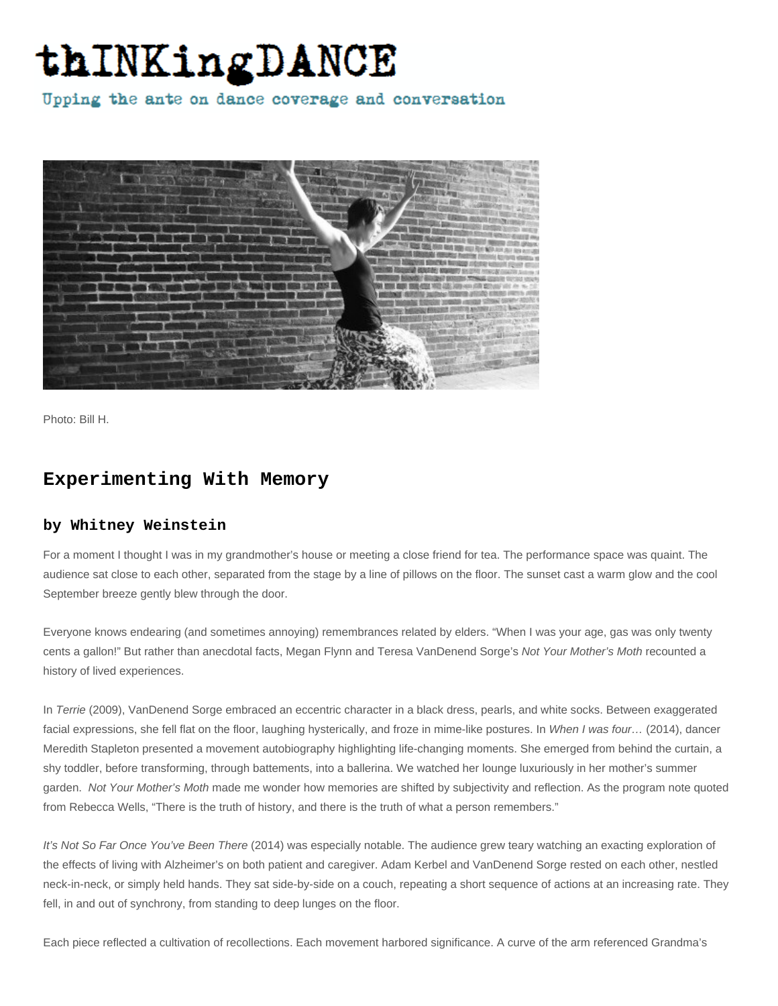## thINKingDANCE

Upping the ante on dance coverage and conversation



Photo: Bill H.

## **Experimenting With Memory**

## **by Whitney Weinstein**

For a moment I thought I was in my grandmother's house or meeting a close friend for tea. The performance space was quaint. The audience sat close to each other, separated from the stage by a line of pillows on the floor. The sunset cast a warm glow and the cool September breeze gently blew through the door.

Everyone knows endearing (and sometimes annoying) remembrances related by elders. "When I was your age, gas was only twenty cents a gallon!" But rather than anecdotal facts, Megan Flynn and Teresa VanDenend Sorge's Not Your Mother's Moth recounted a history of lived experiences.

In Terrie (2009), VanDenend Sorge embraced an eccentric character in a black dress, pearls, and white socks. Between exaggerated facial expressions, she fell flat on the floor, laughing hysterically, and froze in mime-like postures. In When I was four... (2014), dancer Meredith Stapleton presented a movement autobiography highlighting life-changing moments. She emerged from behind the curtain, a shy toddler, before transforming, through battements, into a ballerina. We watched her lounge luxuriously in her mother's summer garden. Not Your Mother's Moth made me wonder how memories are shifted by subjectivity and reflection. As the program note quoted from Rebecca Wells, "There is the truth of history, and there is the truth of what a person remembers."

It's Not So Far Once You've Been There (2014) was especially notable. The audience grew teary watching an exacting exploration of the effects of living with Alzheimer's on both patient and caregiver. Adam Kerbel and VanDenend Sorge rested on each other, nestled neck-in-neck, or simply held hands. They sat side-by-side on a couch, repeating a short sequence of actions at an increasing rate. They fell, in and out of synchrony, from standing to deep lunges on the floor.

Each piece reflected a cultivation of recollections. Each movement harbored significance. A curve of the arm referenced Grandma's